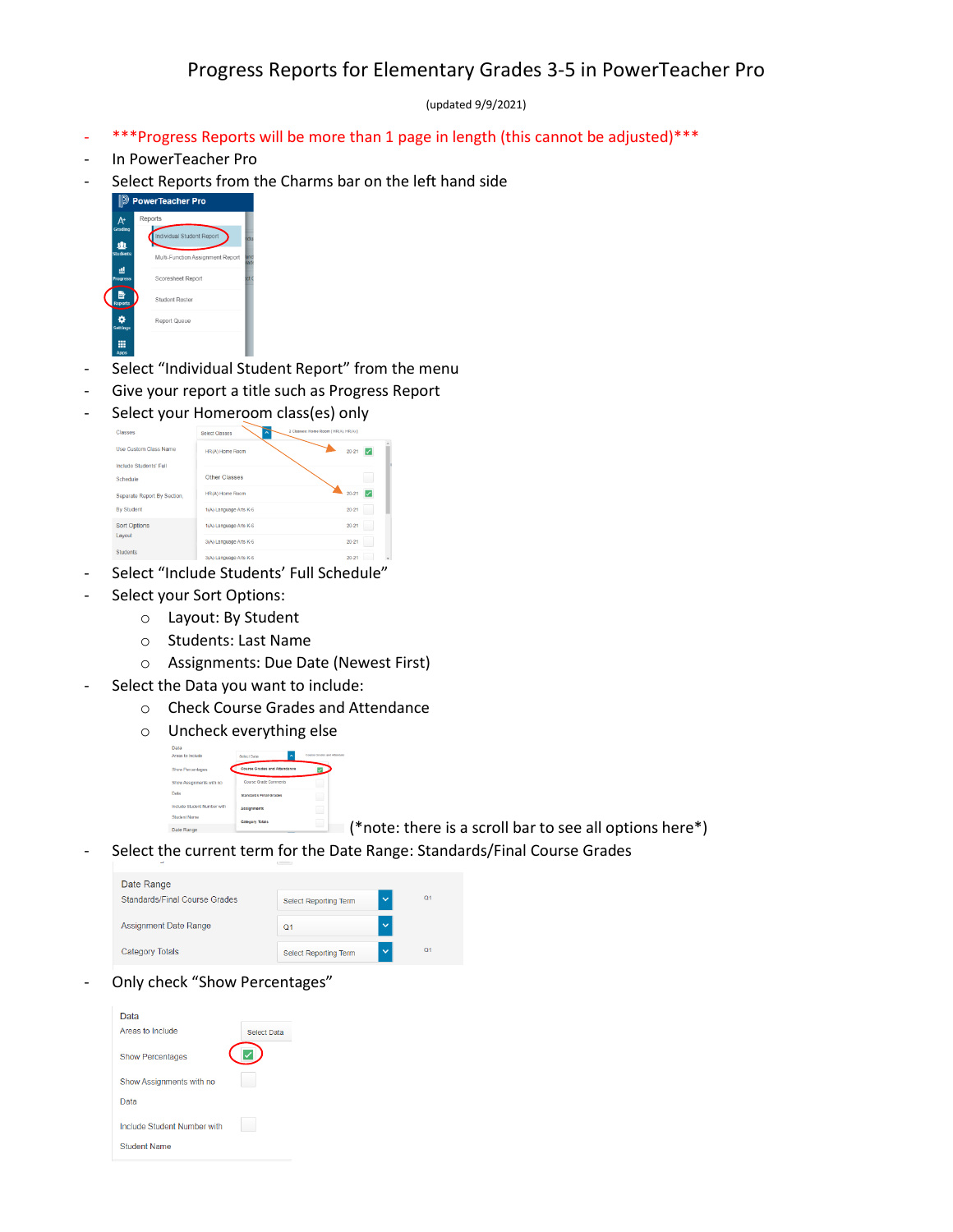(updated 9/9/2021)

- \*\*\*Progress Reports will be more than 1 page in length (this cannot be adjusted)\*\*\*
- In PowerTeacher Pro
- Select Reports from the Charms bar on the left hand side



- Select "Individual Student Report" from the menu
- Give your report a title such as Progress Report
- Select your Homeroom class(es) only

| <b>Classes</b>               | <b>Select Classes</b>  | 2 Classes: Home Room [ HR(A), HR(A) ] |
|------------------------------|------------------------|---------------------------------------|
| <b>Use Custom Class Name</b> | HR(A) Home Room        | $20 - 21$<br><b>Section</b>           |
| Include Students' Full       |                        |                                       |
| Schedule                     | Other Classes          |                                       |
| Separate Report By Section.  | HR(A) Home Room        | $20 - 21$                             |
| <b>By Student</b>            | 1(A) Language Arts K-6 | $20 - 21$                             |
| <b>Sort Options</b>          | 1(A) Language Arts K-6 | $20 - 21$                             |
| Layout                       | 3(A) Language Arts K-6 | $20 - 21$                             |
| <b>Students</b>              |                        |                                       |

- Select "Include Students' Full Schedule"
- Select your Sort Options:
	- o Layout: By Student
	- o Students: Last Name
	- o Assignments: Due Date (Newest First)
- Select the Data you want to include:
	- o Check Course Grades and Attendance
	- o Uncheck everything else

| Data                        |                                 |                           |
|-----------------------------|---------------------------------|---------------------------|
| Areas to include            | $\lambda$<br><b>Select Data</b> | Course Grades and Allenda |
| Show Percentages            | Course Grades and Attendance    |                           |
| Show Assignments with no    | Course Grade Commerts           |                           |
| Data                        | <b>Standards Final Grades</b>   |                           |
| Include Student Number with | <b>Assignments</b>              |                           |
| Student Name                | Category Totals                 |                           |
|                             |                                 |                           |

 $\Box$  (\*note: there is a scroll bar to see all options here\*)

- Select the current term for the Date Range: Standards/Final Course Grades

| Date Range                    |                              |              |                |
|-------------------------------|------------------------------|--------------|----------------|
| Standards/Final Course Grades | Select Reporting Term        | $\checkmark$ | Q <sub>1</sub> |
| <b>Assignment Date Range</b>  | Ο1                           | $\checkmark$ |                |
| <b>Category Totals</b>        | <b>Select Reporting Term</b> | $\checkmark$ | O <sub>1</sub> |

Only check "Show Percentages"

| Data                        |                    |
|-----------------------------|--------------------|
| Areas to Include            | <b>Select Data</b> |
| <b>Show Percentages</b>     |                    |
| Show Assignments with no    |                    |
| Data                        |                    |
| Include Student Number with |                    |
| <b>Student Name</b>         |                    |